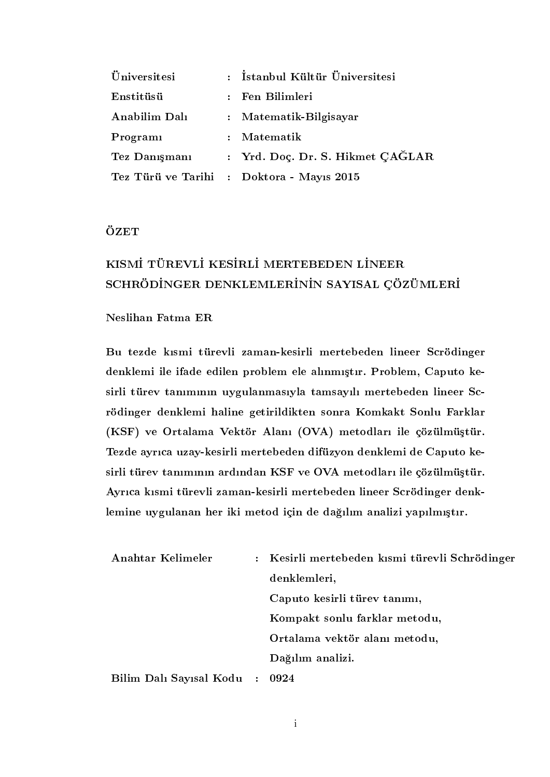| <i>Üniversitesi</i> | : İstanbul Kültür Üniversitesi   |
|---------------------|----------------------------------|
| Enstitüsü           | : Fen Bilimleri                  |
| Anabilim Dalı       | : Matematik-Bilgisayar           |
| Programi            | $:$ Matematik                    |
| Tez Danışmanı       | : Yrd. Doc. Dr. S. Hikmet CAĞLAR |
| Tez Türü ve Tarihi  | : Doktora - Mayıs 2015           |

## **ÖZET**

# KISMİ TÜREVLİ KESİRLİ MERTEBEDEN LİNEER SCHRÖDİNGER DENKLEMLERİNİN SAYISAL ÇÖZÜMLERİ

### Neslihan Fatma ER

Bu tezde ksmi türevli zaman-kesirli mertebeden lineer Scrödinger denklemi ile ifade edilen problem ele alınmıştır. Problem, Caputo kesirli türev tanımının uygulanmasıyla tamsayılı mertebeden lineer Scrödinger denklemi haline getirildikten sonra Komkakt Sonlu Farklar (KSF) ve Ortalama Vektör Alanı (OVA) metodları ile çözülmüştür. Tezde ayrca uzay-kesirli mertebeden difüzyon denklemi de Caputo kesirli türev tanımının ardından KSF ve OVA metodları ile çözülmüştür. Ayrca ksmi türevli zaman-kesirli mertebeden lineer Scrödinger denklemine uygulanan her iki metod için de dağılım analizi yapılmıştır.

| Anahtar Kelimeler       |           | : Kesirli mertebeden kısmi türevli Schrödinger |
|-------------------------|-----------|------------------------------------------------|
|                         |           | denklemleri,                                   |
|                         |           | Caputo kesirli türev tanımı,                   |
|                         |           | Kompakt sonlu farklar metodu,                  |
|                         |           | Ortalama vektör alanı metodu,                  |
|                         |           | Dağılım analizi.                               |
| Bilim Dalı Sayısal Kodu | $\sim$ 1. | 0924                                           |

i